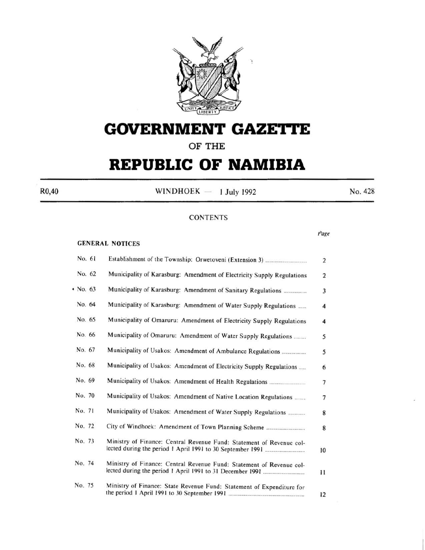

# **GOVERNMENT GAZETtE**

### **OF THE**

# **REPUBLIC OF NAMIBIA**

 $R0,40$  WINDHOEK - 1 July 1992 No. 428

### **CONTENTS**

*rage* 

### GENERAL NOTICES

| No. 61   |                                                                        | $\overline{c}$ |
|----------|------------------------------------------------------------------------|----------------|
| No. 62   | Municipality of Karasburg: Amendment of Electricity Supply Regulations | 2              |
| • No. 63 |                                                                        | 3              |
| No. 64   | Municipality of Karasburg: Amendment of Water Supply Regulations       | 4              |
| No. 65   | Municipality of Omaruru: Amendment of Electricity Supply Regulations   | 4              |
| No. 66   | Municipality of Omaruru: Amendment of Water Supply Regulations         | 5              |
| No. 67   |                                                                        | 5              |
| No. 68   | Municipality of Usakos: Amendment of Electricity Supply Regulations    | 6              |
| No. 69   |                                                                        | 7              |
| No. 70   | Municipality of Usakos: Amendment of Native Location Regulations       | 7              |
| No. 71   | Municipality of Usakos: Amendment of Water Supply Regulations          | 8              |
| No. 72   |                                                                        | 8              |
| No. 73   | Ministry of Finance: Central Revenue Fund: Statement of Revenue col-   | 10             |
| No. 74   | Ministry of Finance: Central Revenue Fund: Statement of Revenue col-   | н              |
| No. 75   | Ministry of Finance: State Revenue Fund: Statement of Expenditure for  | 12             |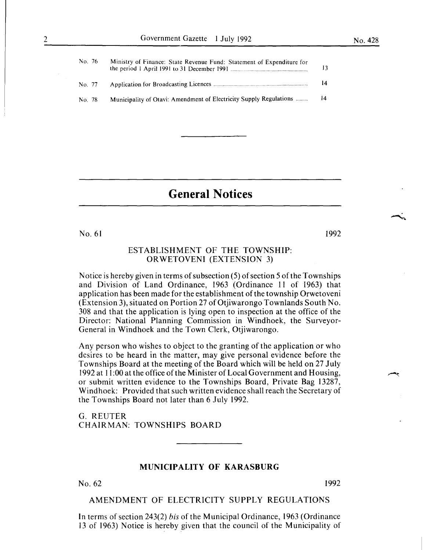| No. 76 | Ministry of Finance: State Revenue Fund: Statement of Expenditure for | 13 |
|--------|-----------------------------------------------------------------------|----|
| No. 77 |                                                                       | 14 |
| No. 78 | Municipality of Otavi: Amendment of Electricity Supply Regulations    | 14 |

## **General Notices**

No. 61 1992

### ESTABLISHMENT OF THE TOWNSHIP: ORWETOVENI (EXTENSION 3)

Notice is hereby given in terms of subsection (5) of section 5 of the Townships and Division of Land Ordinance, I963 (Ordinance II of I963) that application has been made for the establishment of the township Orwetoveni (Extension 3), situated on Portion 27 of Otjiwarongo Townlands South No. 308 and that the application is lying open to inspection at the office of the Director: National Planning Commission in Windhoek, the Surveyor-General in Windhoek and the Town Clerk, Otjiwarongo.

Any person who wishes to object to the granting of the application or who desires to be heard in the matter, may give personal evidence before the Townships Board at the meeting of the Board which will be held on 27 July 1992 at II :00 at the office of the Minister of Local Government and Housing, or submit written evidence to the Townships Board, Private Bag 13287, Windhoek: Provided that such written evidence shall reach the Secretary of the Townships Board not later than 6 July 1992.

G. REUTER CHAIRMAN: TOWNSHIPS BOARD

### **MUNICIPALITY OF KARASBURG**

 $N<sub>0</sub>$ . 62  $1992$ 

### AMENDMENT OF ELECTRICITY SUPPLY REGULATIONS

In terms of section 243(2) *bis* of the Municipal Ordinance, 1963 (Ordinance 13 of 1963) Notice is hereby given that the council of the Municipality of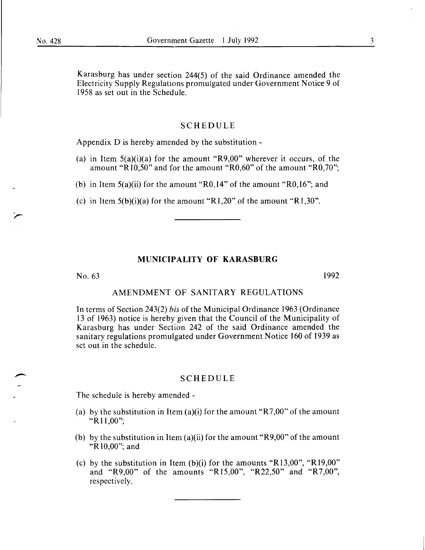Karasburg has under section 244(5) of the said Ordinance amended the Electricity Supply Regulations promulgated under Government Notice 9 of I 958 as set out in the Schedule.

### SCHEDULE

Appendix D is hereby amended by the substitution -

- (a) in Item  $5(a)(i)(a)$  for the amount "R9,00" wherever it occurs, of the amount "Rl0,50" and for the amount "R0,60" of the amount "R0,70";
- (b) in Item 5(a)(ii) for the amount "RO,I4" of the amount "RO,I6"; and

(c) in Item  $5(b)(i)(a)$  for the amount "R1,20" of the amount "R1,30".

### **MUNICIPALITY OF KARASBURG**

No. 63 I992

### AMENDMENT OF SANITARY REGULATIONS

In terms of Section 243(2) *bis* of the Municipal Ordinance I963 (Ordinance I3 of I963) notice is hereby given that the Council of the Municipality of Karasburg has under Section 242 of the said Ordinance amended the sanitary regulations promulgated under Government Notice I60 of 1939 as set out in the schedule.

### SCHEDULE

The schedule is hereby amended-

- (a) by the substitution in Item (a)(i) for the amount "R7,00" of the amount "R II ,00";
- (b) by the substitution in Item  $(a)(ii)$  for the amount "R9,00" of the amount "RIO,OO"; and
- (c) by the substitution in Item  $(b)(i)$  for the amounts "R13,00", "R19,00" and "R9,00" of the amounts "R15,00", "R22,50" and "R7,00", respectively.

3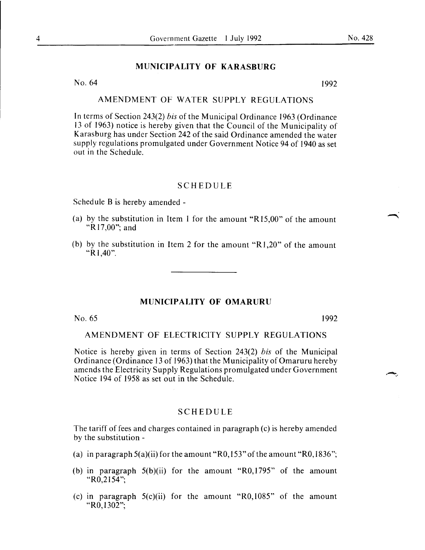### **MUNICIPALITY OF KARASBURG**

No.  $64$  1992

### AMENDMENT OF WATER SUPPLY REGULATIONS

In terms of Section 243(2) *bis* of the Municipal Ordinance 1963 (Ordinance 13 of 1963) notice is hereby given that the Council of the Municipality of Karasburg has under Section 242 of the said Ordinance amended the water supply regulations promulgated under Government Notice 94 of 1940 as set out in the Schedule.

### SCHEDULE

Schedule B is hereby amended-

- (a) by the substitution in Item I for the amount "R15,00" of the amount "Rl7,00"; and
- (b) by the substitution in Item 2 for the amount "R1,20" of the amount " $R$ 1,40".

### **MUNICIPALITY OF OMARURU**

No.  $65$  1992

### AMENDMENT OF ELECTRICITY SUPPLY REGULATIONS

Notice is hereby given in terms of Section 243(2) *bis* of the Municipal Ordinance (Ordinance 13 of 1963) that the Municipality of Omaruru hereby amends the Electricity Supply Regulations promulgated under Government Notice 194 of 1958 as set out in the Schedule.

### SCHEDULE

The tariff of fees and charges contained in paragraph (c) is hereby amended by the substitution -

- (a) in paragraph  $5(a)(ii)$  for the amount "R0,153" of the amount "R0,1836";
- (b) in paragraph  $5(b)(ii)$  for the amount "R0,1795" of the amount " $R0,2154$ ";
- (c) in paragraph 5(c)(ii) for the amount "RO,I085" of the amount "R<sub>0</sub>, 1302":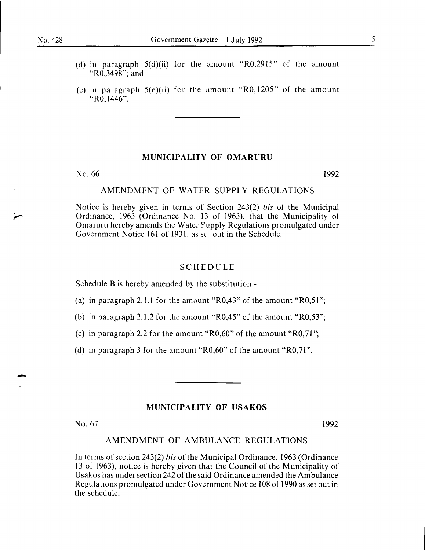- (d) in paragraph  $5(d)(ii)$  for the amount "R0,2915" of the amount "R0,3498"; and
- (e) in paragraph  $5(e)$ (ii) for the amount "R0,1205" of the amount "RO, 1446".

### **MUNICIPALITY OF OMARURU**

No. 66 1992

### AMENDMENT OF WATER SUPPLY REGULATIONS

Notice is hereby given in terms of Section 243(2) *bis* of the Municipal Ordinance, 1963 (Ordinance No. 13 of 1963), that the Municipality of Omaruru hereby amends the Wate: Supply Regulations promulgated under Government Notice 161 of 1931, as so out in the Schedule.

### SCHEDULE

Schedule B is hereby amended by the substitution -

(a) in paragraph 2.1.1 for the amount " $R0,43$ " of the amount " $R0,51$ ";

(b) in paragraph 2.1.2 for the amount "R0,45" of the amount "R0,53";

(c) in paragraph 2.2 for the amount " $R0,60$ " of the amount " $R0,71$ ";

(d) in paragraph 3 for the amount " $R0,60$ " of the amount " $R0,71$ ".

### **MUNICIPALITY OF USAKOS**

No. 67 1992

### AMENDMENT OF AMBULANCE REGULATIONS

In terms of section 243(2) *bis* of the Municipal Ordinance, 1963 (Ordinance 13 of 1963), notice is hereby given that the Council of the Municipality of Usakos has under section 242 of the said Ordinance amended the Ambulance Regulations promulgated under Government Notice 108 of 1990 as set out in the schedule.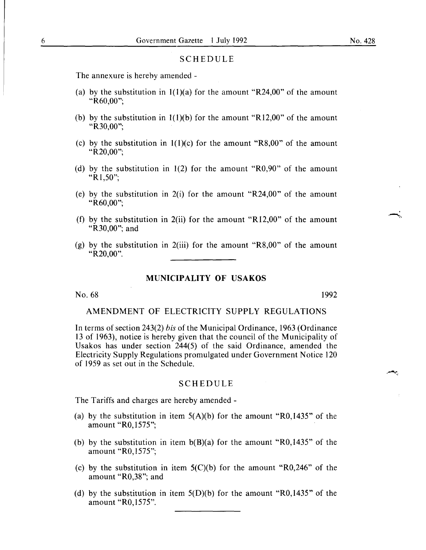### **SCHEDULE**

The annexure is hereby amended-

- (a) by the substitution in  $1(1)(a)$  for the amount "R24,00" of the amount "R60,00";
- (b) by the substitution in  $1(1)(b)$  for the amount "R12,00" of the amount "R30.00":
- (c) by the substitution in  $1(1)(c)$  for the amount "R8,00" of the amount "R20,00";
- (d) by the substitution in 1(2) for the amount "R0,90" of the amount "Rl,50";
- (e) by the substitution in  $2(i)$  for the amount "R24,00" of the amount "R60,00";
- (f) by the substitution in 2(ii) for the amount "R12,00" of the amount "R30,00"; and
- (g) by the substitution in 2(iii) for the amount "R8,00" of the amount "R<sub>20</sub>,00".

### **MUNICIPALITY OF USAKOS**

No. 68 1992

بجعم

### AMENDMENT OF ELECTRICITY SUPPLY REGULATIONS

In terms of section 243(2) *bis* of the Municipal Ordinance, 1963 (Ordinance 13 of 1963), notice is hereby given that the council of the Municipality of Usakos has under section 244(5) of the said Ordinance, amended the Electricity Supply Regulations promulgated under Government Notice 120 of 1959 as set out in the Schedule.

### SCHEDULE

The Tariffs and charges are hereby amended-

- (a) by the substitution in item  $5(A)(b)$  for the amount "R0,1435" of the amount "R0,1575";
- (b) by the substitution in item  $b(B)(a)$  for the amount "R0,1435" of the amount "R0,1575";
- (c) by the substitution in item  $5(C)(b)$  for the amount "R0,246" of the amount "R0,38"; and
- (d) by the substitution in item  $5(D)(b)$  for the amount "R0, 1435" of the amount "RO,l575".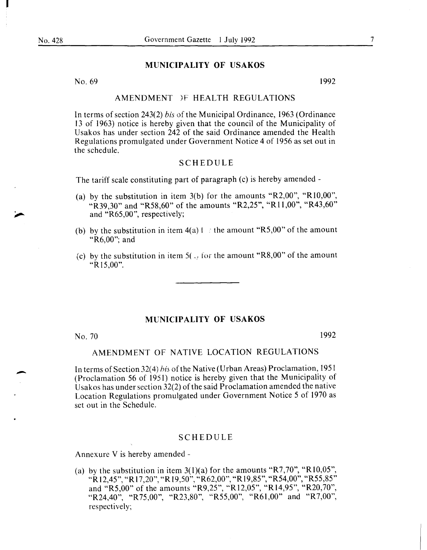I

### MUNICIPALITY OF USAKOS

No.  $69$  1992

### AMENDMENT )F HEALTH REGULATIONS

In terms of section 243(2) *bis* of the Municipal Ordinance, 1963 (Ordinance 13 of 1963) notice is hereby given that the council of the Municipality of Usakos has under section 242 of the said Ordinance amended the Health Regulations promulgated under Government Notice 4 of 1956 as set out in the schedule.

### SCHEDULE

The tariff scale constituting part of paragraph (c) is hereby amended-

- (a) by the substitution in item  $3(b)$  for the amounts "R2,00", "R10,00", "R39,30" and "R58,60" of the amounts "R2,25", "R11,00", "R43,60" and "R65,00", respectively;
- (b) by the substitution in item  $4(a)$  f  $\epsilon$  the amount "R5,00" of the amount "R6,00"; and
- (c) by the substitution in item  $5($ <sub>1</sub>, for the amount "R8,00" of the amount "R 15,00".

### MUNICIPALITY OF USAKOS

No. 70 1992

-

### AMENDMENT OF NATIVE LOCATION REGULATIONS

In terms of Section 32(4) his of the Native (Urban Areas) Proclamation, 1951 (Proclamation 56 of 1951) notice is hereby given that the Municipality of Usakos has under section  $32(2)$  of the said Proclamation amended the native Location Regulations promulgated under Government Notice 5 of 1970 as set out in the Schedule.

### SCHEDULE

Annexure V is hereby amended -

(a) by the substitution in item  $3(1)(a)$  for the amounts "R7,70", "R10,05", "R 12,45", "R 17 ,20", "R 19,50", "R62,00", "R19,85", "R54,00", "R55,85" and "R5,00" of the amounts "R9,25", "R12,05", "R14,95", "R20,70", "R24,40", "R75,00", "R23,80", "R55,00", "R61,00" and "R7,00", respectively;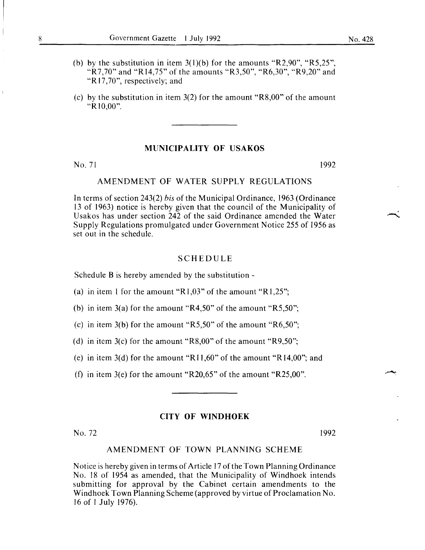- (b) by the substitution in item  $3(1)(b)$  for the amounts "R2,90", "R5,25", "R7,70" and "R14,75" of the amounts "R3,50", "R6,30", "R9,20" and "R 17 ,70", respectively; and
- (c) by the substitution in item 3(2) for the amount "R8,00" of the amount "R 10,00".

### MUNICIPALITY OF USAKOS

 $No. 71$  1992

### AMENDMENT OF WATER SUPPLY REGULATIONS

In terms of section 243(2) *bis* of the Municipal Ordinance, 1963 (Ordinance 13 of 1963) notice is hereby given that the council of the Municipality of Usakos has under section 242 of the said Ordinance amended the Water Supply Regulations promulgated under Government Notice 255 of 1956 as set out in the schedule.

### SCHEDULE

Schedule B is hereby amended by the substitution-

- (a) in item 1 for the amount " $R1,03$ " of the amount " $R1,25$ ";
- (b) in item 3(a) for the amount " $R4,50$ " of the amount " $R5,50$ ";
- (c) in item 3(b) for the amount "R5,50" of the amount "R6,50";
- (d) in item 3(c) for the amount "R8,00" of the amount "R9,50";
- (e) in item 3(d) for the amount "R11,60" of the amount "R14,00"; and
- (f) in item 3(e) for the amount "R20,65" of the amount "R25,00".

### CITY OF WINDHOEK

No. 72 1992

### AMENDMENT OF TOWN PLANNING SCHEME

Notice is hereby given in terms of Article 17 of the Town Planning Ordinance No. 18 of 1954 as amended, that the Municipality of Windhoek intends submitting for approval by the Cabinet certain amendments to the Windhoek Town Planning Scheme (approved by virtue of Proclamation No. 16 of 1 July 1976).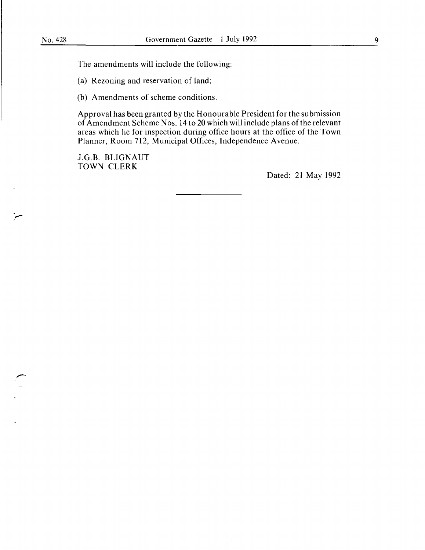r .<br>مخ The amendments will include the following:

(a) Rezoning and reservation of land;

(b) Amendments of scheme conditions.

Approval has been granted by the Honourable President for the submission of Amendment Scheme Nos. 14 to 20 which will include plans of the relevant areas which lie for inspection during office hours at the office of the Town Planner, Room 712, Municipal Offices, Independence Avenue.

J.G.B. BLIGNAUT TOWN CLERK

Dated: 21 May 1992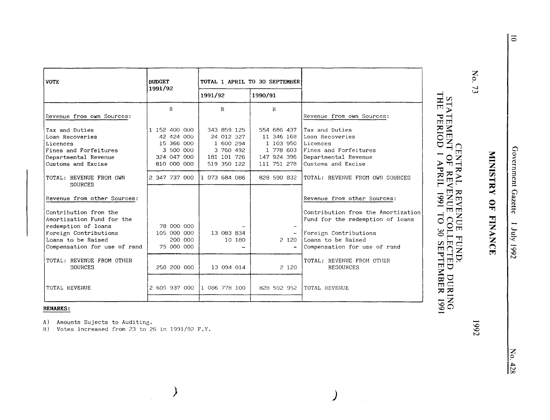| <b>VOTE</b>                                                                                                                                                                             | <b>BUDGET</b>                                                                        |                                                                                   | TOTAL 1 APRIL TO 30 SEPTEMBER                                                     |                                                                                                                                                                                      |
|-----------------------------------------------------------------------------------------------------------------------------------------------------------------------------------------|--------------------------------------------------------------------------------------|-----------------------------------------------------------------------------------|-----------------------------------------------------------------------------------|--------------------------------------------------------------------------------------------------------------------------------------------------------------------------------------|
|                                                                                                                                                                                         | 1991/92                                                                              | 1991/92                                                                           | 1990/91                                                                           |                                                                                                                                                                                      |
| Revenue from own Sources:                                                                                                                                                               | $\mathbf R$                                                                          | $\mathbf R$                                                                       | $_{\rm R}$                                                                        | Revenue from own Sources:                                                                                                                                                            |
| Tax and Duties<br>Loan Recoveries<br>Licences<br>Fines and Forfeitures<br>Departmental Revenue<br>Customs and Excise                                                                    | 1 152 400 000<br>42 424 000<br>15 366 000<br>3 500 000<br>324 047 000<br>810 000 000 | 343 859 125<br>24 012 327<br>1 600 294<br>3 760 492<br>181 101 726<br>519 350 122 | 554 686 437<br>11 346 168<br>1 103 950<br>1 778 603<br>147 924 396<br>111 751 278 | Tax and Duties<br>Loan Recoveries<br>Licences<br>Fines and Forfeitures<br>Departmental Revenue<br>Customs and Excise                                                                 |
| TOTAL: REVENUE FROM OWN<br><b>SOURCES</b>                                                                                                                                               | 2 347 737 000                                                                        | 1 073 684 086                                                                     | 828 590 832                                                                       | TOTAL: REVENUE FROM OWN SOURCES                                                                                                                                                      |
| Revenue from other Sources:<br>Contribution from the<br>Amortization Fund for the<br>redemption of loans<br>Foreign Contributions<br>Loans to be Raised<br>Compensation for use of rand | 78 000 000<br>105 000 000<br>200 000<br>75 000 000                                   | 13 083 834<br>10 180                                                              | 2 1 2 0                                                                           | Revenue from other Sources:<br>Contribution from the Amortization<br>Fund for the redemption of loans<br>Foreign Contributions<br>Loans to be Raised<br>Compensation for use of rand |
| TOTAL: REVENUE FROM OTHER<br>SOURCES                                                                                                                                                    | 258 200 000                                                                          | 13 094 014                                                                        | 2 1 2 0                                                                           | TOTAL: REVENUE FROM OTHER<br><b>RESOURCES</b>                                                                                                                                        |
| TOTAL REVENUE                                                                                                                                                                           | 2 605 937 000                                                                        | 1 086 778 100                                                                     | 828 592 952                                                                       | TOTAL REVENUE                                                                                                                                                                        |

### **REMARKS:**

Amounts Sujects to Auditing. A)

Votes increased from 23 to 26 in 1991/92 F.Y. **B**)

 $\big)$ 

 $\ddot{\phantom{a}}$ 

No. 73

MINISTRY OF FINANCE

 $\overline{5}$ 

# CENTRAL REVENUE FUND:<br>STATEMENT OF REVENUE COLLECTED DURING<br>THE PERIOD 1 APRIL 1991 TO 30 SEPTEMBER 1991

 $\mathcal{L}$  $\mathcal{L}_{\rm{in}}$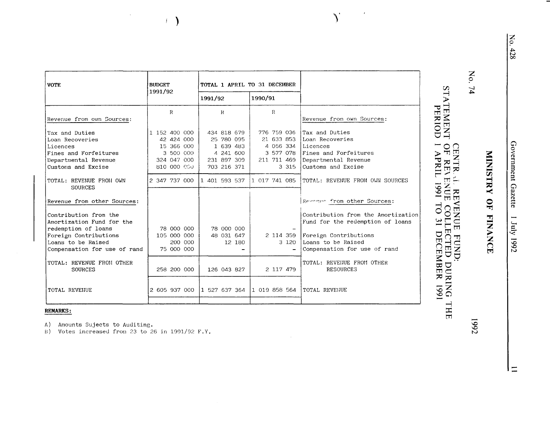| <b>VOTE</b>                        | <b>BUDGET</b> | TOTAL 1 APRIL TO 31 DECEMBER |               |                                    |
|------------------------------------|---------------|------------------------------|---------------|------------------------------------|
|                                    | 1991/92       | 1991/92                      | 1990/91       |                                    |
|                                    | R             | $_{\rm R}$                   | $\mathbb{R}$  |                                    |
| Revenue from own Sources:          |               |                              |               | Revenue from own Sources:          |
| Tax and Duties                     | 1 152 400 000 | 434 818 679                  | 776 759 036   | Tax and Duties                     |
| Loan Recoveries                    | 42 424 000    | 25 780 095                   | 21 633 853    | Loan Recoveries                    |
| Licences                           | 15 366 000    | 1 639 483                    | 4 056 334     | Licences                           |
| Fines and Forfeitures              | 3 500 000     | 4 241 600                    | 3 577 078     | Fines and Forfeitures              |
| Departmental Revenue               | 324 047 000   | 231 897 309                  | 211 711 469   | Departmental Revenue               |
| Customs and Excise                 | 810 000 000   | 703 216 371                  | 3 3 1 5       | Customs and Excise                 |
| TOTAL: REVENUE FROM OWN<br>SOURCES | 2 347 737 000 | 1 401 593 537                | 1 017 741 085 | TOTAL: REVENUE FROM OWN SOURCES    |
|                                    |               |                              |               |                                    |
| Revenue from other Sources:        |               |                              |               | Revenue from other Sources:        |
| Contribution from the              |               |                              |               | Contribution from the Amortization |
| Amortization Fund for the          |               |                              |               | Fund for the redemption of loans   |
| redemption of loans                | 78 000 000    | 78 000 000                   |               |                                    |
| Foreign Contributions              | 105 000 000   | 48 031 647                   | 2 114 359     | Foreign Contributions              |
| Loans to be Raised                 | 200 000       | 12 180                       | 3 1 2 0       | Loans to be Raised                 |
| Compensation for use of rand       | 75 000 000    |                              |               | Compensation for use of rand       |
| TOTAL: REVENUE FROM OTHER          |               |                              |               | TOTAL: REVEIJUE FROM OTHER         |
| SOURCES                            | 258 200 000   | 126 043 827                  | 2 117 479     | <b>RESOURCES</b>                   |
|                                    |               |                              |               |                                    |
| TOTAL REVENUE                      | 2 605 937 000 | 1 527 637 364                | 1 019 858 564 | TOTAL REVENUE                      |
|                                    |               |                              |               |                                    |

 $\sum$ 

### **REMARKS:**

A) Amounts Sujects to Auditing.

Votes increased from 23 to 26 in 1991/92 F.Y.  $B)$ 

 $\Delta$ 

 $\leftarrow$ 

No. 74

Government Gazette 7 July 1992

 $\vert \equiv$ 

# MINISTRY OF FINANCE

**1992**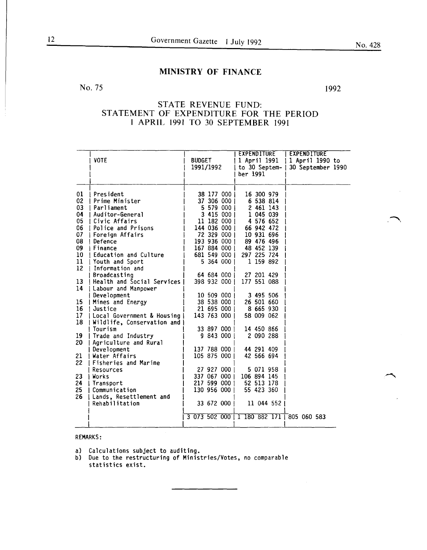### MINISTRY OF FINANCE

### No. 75 1992

### STATE REVENUE FUND: STATEMENT OF EXPENDITURE FOR THE PERIOD 1 APRIL 1991 TO 30 SEPTEMBER 1991

|    | <b>VOTE</b>                | <b>BUDGET</b><br>1991/1992 | <b>EXPENDITURE</b><br>1 April 1991<br>to $30$ Septem-<br>ber 1991 | <b>EXPENDITURE</b><br>1 April 1990 to<br>30 September 1990 |
|----|----------------------------|----------------------------|-------------------------------------------------------------------|------------------------------------------------------------|
| 01 | President                  | 38 177 000 1               | 16 300 979                                                        |                                                            |
| 02 | I Prime Minister           | 37 306 000                 | 6 538 814                                                         |                                                            |
| 03 | Parliament                 | 5 579 000                  | 2 461 143                                                         |                                                            |
| 04 | Auditor-General            | 3 415 000 1                | 1 045 039                                                         |                                                            |
| 05 | I Civic Affairs            | 11 182 000 1               | 4 576 652                                                         |                                                            |
| 06 | <b>Police and Prisons</b>  | 144 036 000                | 66 942 472                                                        |                                                            |
| 07 | Foreign Affairs            | 72 329 000                 | 10 931 696                                                        |                                                            |
| 08 | Defence                    | 193 936 000                | 89 476 496                                                        |                                                            |
| 09 | I Finance                  | 167 884 000                | 48 452 139                                                        |                                                            |
| 10 | I Education and Culture    | 681 549 000                | 297 225 724                                                       |                                                            |
| 11 | Youth and Sport            | 5 364 000 1                | 1 159 892                                                         |                                                            |
| 12 | Information and            |                            |                                                                   |                                                            |
|    | Broadcasting               | 64 684 000                 | 27 201 429                                                        |                                                            |
| 13 | Health and Social Services | 398 932 000                | 177 551 088                                                       |                                                            |
| 14 | Labour and Manpower        |                            |                                                                   |                                                            |
|    | Development                | 10 509 000                 | 3 495 506                                                         |                                                            |
| 15 | Mines and Energy           | 38 538 000                 | 26 501 660                                                        |                                                            |
| 16 | Justice                    | 21 695 000                 | 8 665 930                                                         |                                                            |
| 17 | Local Government & Housing | 143 763 000                | 58 009 062                                                        |                                                            |
| 18 | Wildlife, Conservation and |                            |                                                                   |                                                            |
|    | Tourism                    | 33 897 000                 | 14 450 866                                                        |                                                            |
| 19 | Trade and Industry         | 9843000                    | 2 090 288                                                         |                                                            |
| 20 | Agriculture and Rural      |                            |                                                                   |                                                            |
|    | Development                | 137 788 000 1              | 44 291 409                                                        |                                                            |
| 21 | Water Affairs              | 105 875 000                | 42 566 694                                                        |                                                            |
| 22 | Fisheries and Marine       |                            |                                                                   |                                                            |
|    | Resources                  | 27 927 000                 | 5 071 958                                                         |                                                            |
| 23 | i Works                    | 337 067 000 1              | 106 894 145                                                       |                                                            |
| 24 | Transport                  | 217 599 000 1              | 52 513 178                                                        |                                                            |
| 25 | Communication              | 130 956 000                | 55 423 360                                                        |                                                            |
| 26 | Lands, Resettlement and    |                            |                                                                   |                                                            |
|    | Rehabilitation             | 33 672 000                 | 11 044 552                                                        |                                                            |
|    |                            |                            | 3 073 502 000 1 180 882 171 805 060 583                           |                                                            |

### REMARKS:

- a) Calculations subject to auditing.
- b) Due to the restructuring of Ministries/Votes, no comparable statistics exist.

............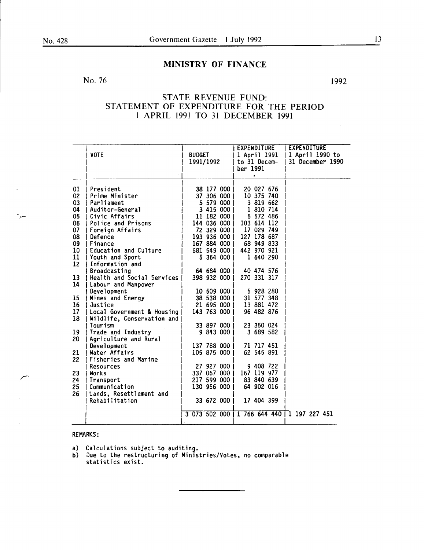بير

### MINISTRY OF FINANCE

### No. 76

1992

### STATE REVENUE FUND: STATEMENT OF EXPENDITURE FOR THE PERIOD 1 APRIL 1991 TO 31 DECEMBER 1991

|          |                                  |                                           | <b>BUDGET</b> |                          |              | <b>EXPENDITURE</b><br>1 April 1991 |                         |  | EXPENDITURE |                                     |  |
|----------|----------------------------------|-------------------------------------------|---------------|--------------------------|--------------|------------------------------------|-------------------------|--|-------------|-------------------------------------|--|
|          | <b>VOTE</b>                      | 1991/1992                                 |               |                          | to 31 Decem- |                                    |                         |  |             | 1 April 1990 to<br>31 December 1990 |  |
|          |                                  |                                           |               |                          | ber 1991     |                                    |                         |  |             |                                     |  |
|          |                                  |                                           |               |                          |              | $\bullet$                          |                         |  |             |                                     |  |
|          |                                  |                                           |               |                          |              |                                    |                         |  |             |                                     |  |
| 01       | l President                      |                                           |               | 38 177 000               |              |                                    | 20 027 676              |  |             |                                     |  |
| 02<br>03 | l Prime Minister<br>! Parliament |                                           |               | 37 306 000               |              |                                    | 10 375 740<br>3 819 662 |  |             |                                     |  |
| 04       | Auditor-General                  |                                           |               | 5 579 000  <br>3 415 000 |              |                                    | 1 810 714               |  |             |                                     |  |
| 05       | Civic Affairs                    |                                           |               | 11 182 000               |              |                                    | 6 572 486               |  |             |                                     |  |
| 06       | Police and Prisons               |                                           |               | 144 036 000              |              | 103 614 112                        |                         |  |             |                                     |  |
| 07       | Foreign Affairs                  |                                           |               | 72 329 000               |              |                                    | 17 029 749              |  |             |                                     |  |
| 08       | Defence                          |                                           |               | 193 936 000              |              |                                    | 127 178 687             |  |             |                                     |  |
| 09       | I Finance                        |                                           |               | 167 884 000              |              |                                    | 68 949 833              |  |             |                                     |  |
| 10       | Education and Culture            |                                           |               | 681 549 000              |              |                                    | 442 970 921             |  |             |                                     |  |
| 11       | Youth and Sport                  |                                           |               | 5 364 000 1              |              |                                    | 1 640 290               |  |             |                                     |  |
| 12       | Information and                  |                                           |               |                          |              |                                    |                         |  |             |                                     |  |
|          | Broadcasting                     |                                           |               | 64 684 000 l             |              |                                    | 40 474 576              |  |             |                                     |  |
| 13       | l Health and Social Services I   |                                           |               | 398 932 000              |              |                                    | 270 331 317             |  |             |                                     |  |
| 14       | Labour and Manpower              |                                           |               |                          |              |                                    |                         |  |             |                                     |  |
|          | Development                      |                                           |               | 10 509 000               |              |                                    | 5 928 280               |  |             |                                     |  |
| 15       | Mines and Energy                 |                                           |               | 38 538 000               |              |                                    | 31 577 348              |  |             |                                     |  |
| 16       | l Justice                        |                                           |               | 21 695 000               |              |                                    | 13 881 472              |  |             |                                     |  |
| 17       | [ Local Government & Housing ]   |                                           |               | 143 763 000              |              |                                    | 96 482 876              |  |             |                                     |  |
| 18       | Wildlife, Conservation and       |                                           |               |                          |              |                                    |                         |  |             |                                     |  |
|          | Tourism                          |                                           |               | 33 897 000               |              |                                    | 23 350 024              |  |             |                                     |  |
| 19       | Trade and Industry               |                                           |               | 9 843 000 1              |              | 3 689 582                          |                         |  |             |                                     |  |
| 20       | Agriculture and Rural            |                                           |               |                          |              |                                    |                         |  |             |                                     |  |
|          | Development                      |                                           |               | 137 788 000              |              | 71 717 451                         |                         |  |             |                                     |  |
| 21       | Water Affairs                    |                                           |               | 105 875 000              |              | 62 545 891                         |                         |  |             |                                     |  |
| 22       | <b>I Fisheries and Marine</b>    |                                           |               |                          |              |                                    |                         |  |             |                                     |  |
|          | Resources                        |                                           |               | 27 927 000 1             |              | 9 408 722                          |                         |  |             |                                     |  |
| 23       | I Works                          |                                           |               | 337 067 000              |              |                                    | 167 119 977             |  |             |                                     |  |
| 24       | Transport                        |                                           |               | 217 599 000              |              |                                    | 83 840 639              |  |             |                                     |  |
| 25       | Communication                    |                                           |               | 130 956 000              |              |                                    | 64 902 016              |  |             |                                     |  |
| 26       | Lands, Resettlement and          |                                           |               |                          |              |                                    |                         |  |             |                                     |  |
|          | Rehabilitation                   |                                           |               | 33 672 000               |              |                                    | 17 404 399              |  |             |                                     |  |
|          |                                  |                                           |               |                          |              |                                    |                         |  |             |                                     |  |
|          |                                  | 3 073 502 000 1 766 644 440 1 197 227 451 |               |                          |              |                                    |                         |  |             |                                     |  |
|          |                                  |                                           |               |                          |              |                                    |                         |  |             |                                     |  |

### **REMARKS:**

a) Calculations subject to auditing.<br>b) Due to the restructuring of Ministries/Votes, no comparable statistics exist.